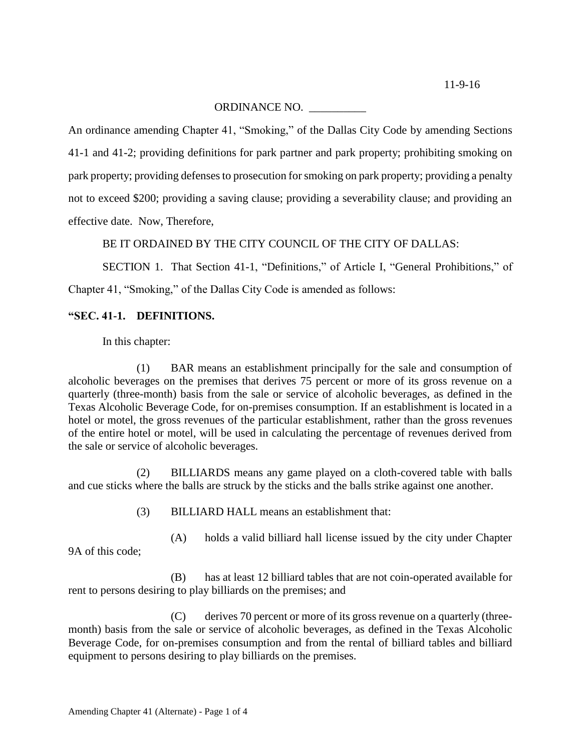## ORDINANCE NO. \_\_\_\_\_\_\_\_\_\_

An ordinance amending Chapter 41, "Smoking," of the Dallas City Code by amending Sections 41-1 and 41-2; providing definitions for park partner and park property; prohibiting smoking on park property; providing defenses to prosecution for smoking on park property; providing a penalty not to exceed \$200; providing a saving clause; providing a severability clause; and providing an effective date. Now, Therefore,

BE IT ORDAINED BY THE CITY COUNCIL OF THE CITY OF DALLAS:

SECTION 1. That Section 41-1, "Definitions," of Article I, "General Prohibitions," of Chapter 41, "Smoking," of the Dallas City Code is amended as follows:

## **"SEC. 41-1. DEFINITIONS.**

In this chapter:

(1) BAR means an establishment principally for the sale and consumption of alcoholic beverages on the premises that derives 75 percent or more of its gross revenue on a quarterly (three-month) basis from the sale or service of alcoholic beverages, as defined in the Texas Alcoholic Beverage Code, for on-premises consumption. If an establishment is located in a hotel or motel, the gross revenues of the particular establishment, rather than the gross revenues of the entire hotel or motel, will be used in calculating the percentage of revenues derived from the sale or service of alcoholic beverages.

(2) BILLIARDS means any game played on a cloth-covered table with balls and cue sticks where the balls are struck by the sticks and the balls strike against one another.

(3) BILLIARD HALL means an establishment that:

(A) holds a valid billiard hall license issued by the city under Chapter 9A of this code;

(B) has at least 12 billiard tables that are not coin-operated available for rent to persons desiring to play billiards on the premises; and

(C) derives 70 percent or more of its gross revenue on a quarterly (threemonth) basis from the sale or service of alcoholic beverages, as defined in the Texas Alcoholic Beverage Code, for on-premises consumption and from the rental of billiard tables and billiard equipment to persons desiring to play billiards on the premises.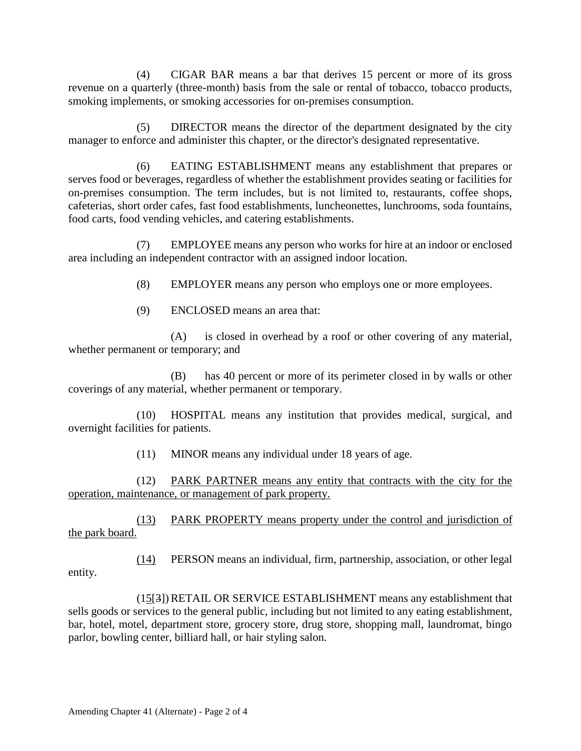(4) CIGAR BAR means a bar that derives 15 percent or more of its gross revenue on a quarterly (three-month) basis from the sale or rental of tobacco, tobacco products, smoking implements, or smoking accessories for on-premises consumption.

(5) DIRECTOR means the director of the department designated by the city manager to enforce and administer this chapter, or the director's designated representative.

(6) EATING ESTABLISHMENT means any establishment that prepares or serves food or beverages, regardless of whether the establishment provides seating or facilities for on-premises consumption. The term includes, but is not limited to, restaurants, coffee shops, cafeterias, short order cafes, fast food establishments, luncheonettes, lunchrooms, soda fountains, food carts, food vending vehicles, and catering establishments.

(7) EMPLOYEE means any person who works for hire at an indoor or enclosed area including an independent contractor with an assigned indoor location.

(8) EMPLOYER means any person who employs one or more employees.

(9) ENCLOSED means an area that:

(A) is closed in overhead by a roof or other covering of any material, whether permanent or temporary; and

(B) has 40 percent or more of its perimeter closed in by walls or other coverings of any material, whether permanent or temporary.

(10) HOSPITAL means any institution that provides medical, surgical, and overnight facilities for patients.

(11) MINOR means any individual under 18 years of age.

(12) PARK PARTNER means any entity that contracts with the city for the operation, maintenance, or management of park property.

(13) PARK PROPERTY means property under the control and jurisdiction of the park board.

(14) PERSON means an individual, firm, partnership, association, or other legal entity.

 $(15[3])$ RETAIL OR SERVICE ESTABLISHMENT means any establishment that sells goods or services to the general public, including but not limited to any eating establishment, bar, hotel, motel, department store, grocery store, drug store, shopping mall, laundromat, bingo parlor, bowling center, billiard hall, or hair styling salon.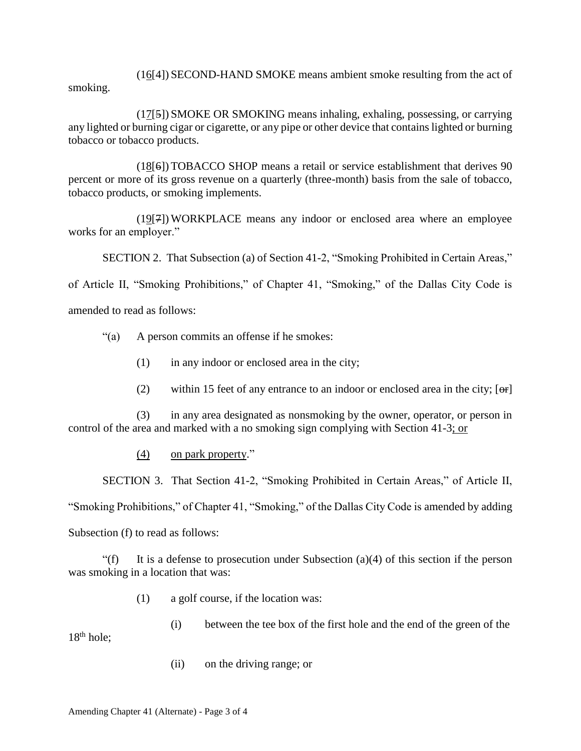(16[4]) SECOND-HAND SMOKE means ambient smoke resulting from the act of smoking.

(17[5]) SMOKE OR SMOKING means inhaling, exhaling, possessing, or carrying any lighted or burning cigar or cigarette, or any pipe or other device that contains lighted or burning tobacco or tobacco products.

(18[6]) TOBACCO SHOP means a retail or service establishment that derives 90 percent or more of its gross revenue on a quarterly (three-month) basis from the sale of tobacco, tobacco products, or smoking implements.

(19[7])WORKPLACE means any indoor or enclosed area where an employee works for an employer."

SECTION 2. That Subsection (a) of Section 41-2, "Smoking Prohibited in Certain Areas,"

of Article II, "Smoking Prohibitions," of Chapter 41, "Smoking," of the Dallas City Code is

amended to read as follows:

- "(a) A person commits an offense if he smokes:
	- $(1)$  in any indoor or enclosed area in the city;
	- (2) within 15 feet of any entrance to an indoor or enclosed area in the city;  $[ $\Theta$ F)$

(3) in any area designated as nonsmoking by the owner, operator, or person in control of the area and marked with a no smoking sign complying with Section 41-3; or

## (4) on park property."

SECTION 3. That Section 41-2, "Smoking Prohibited in Certain Areas," of Article II,

"Smoking Prohibitions," of Chapter 41, "Smoking," of the Dallas City Code is amended by adding

Subsection (f) to read as follows:

"(f) It is a defense to prosecution under Subsection (a)(4) of this section if the person was smoking in a location that was:

(1) a golf course, if the location was:

(i) between the tee box of the first hole and the end of the green of the  $18<sup>th</sup>$  hole;

(ii) on the driving range; or